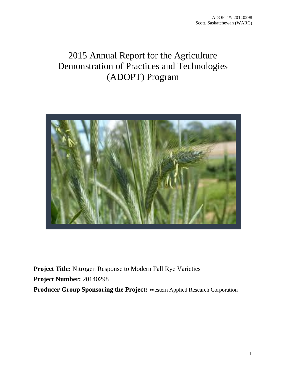# 2015 Annual Report for the Agriculture Demonstration of Practices and Technologies (ADOPT) Program



**Project Title:** Nitrogen Response to Modern Fall Rye Varieties **Project Number:** 20140298 **Producer Group Sponsoring the Project:** Western Applied Research Corporation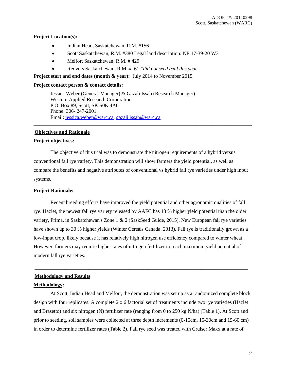# **Project Location(s):**

- Indian Head, Saskatchewan, R.M. #156
- Scott Saskatchewan, R.M. #380 Legal land description: NE 17-39-20 W3
- Melfort Saskatchewan, R.M. # 429
- Redvers Saskatchewan, R.M. # 61 *\*did not seed trial this year*

**Project start and end dates (month & year):** July 2014 to November 2015

## **Project contact person & contact details:**

Jessica Weber (General Manager) & Gazali Issah (Research Manager) Western Applied Research Corporation P.O. Box 89, Scott, SK S0K 4A0 Phone: 306- 247-2001 Email: [jessica.weber@warc.ca,](mailto:jessica.weber@warc.ca) [gazali.issah@warc.ca](mailto:gazali.issah@warc.ca)

# **Objectives and Rationale**

# **Project objectives:**

The objective of this trial was to demonstrate the nitrogen requirements of a hybrid versus conventional fall rye variety. This demonstration will show farmers the yield potential, as well as compare the benefits and negative attributes of conventional vs hybrid fall rye varieties under high input systems.

\_\_\_\_\_\_\_\_\_\_\_\_\_\_\_\_\_\_\_\_\_\_\_\_\_\_\_\_\_\_\_\_\_\_\_\_\_\_\_\_\_\_\_\_\_\_\_\_\_\_\_\_\_\_\_\_\_\_\_\_\_\_\_\_\_\_\_\_\_\_\_\_\_\_\_\_\_\_\_\_\_\_\_\_\_

# **Project Rationale:**

Recent breeding efforts have improved the yield potential and other agronomic qualities of fall rye. Hazlet, the newest fall rye variety released by AAFC has 13 % higher yield potential than the older variety, Prima, in Saskatchewan's Zone 1 & 2 (SaskSeed Guide, 2015). New European fall rye varieties have shown up to 30 % higher yields (Winter Cereals Canada, 2013). Fall rye is traditionally grown as a low-input crop, likely because it has relatively high nitrogen use efficiency compared to winter wheat. However, farmers may require higher rates of nitrogen fertilizer to reach maximum yield potential of modern fall rye varieties.

\_\_\_\_\_\_\_\_\_\_\_\_\_\_\_\_\_\_\_\_\_\_\_\_\_\_\_\_\_\_\_\_\_\_\_\_\_\_\_\_\_\_\_\_\_\_\_\_\_\_\_\_\_\_\_\_\_\_\_\_\_\_\_\_\_\_\_\_\_\_\_\_\_\_\_\_\_\_\_\_\_\_\_

# **Methodology and Results**

## **Methodology:**

At Scott, Indian Head and Melfort, the demonstration was set up as a randomized complete block design with four replicates. A complete 2 x 6 factorial set of treatments include two rye varieties (Hazlet and Brasetto) and six nitrogen (N) fertilizer rate (ranging from 0 to 250 kg N/ha) (Table 1). At Scott and prior to seeding, soil samples were collected at three depth increments (0-15cm, 15-30cm and 15-60 cm) in order to determine fertilizer rates (Table 2). Fall rye seed was treated with Cruiser Maxx at a rate of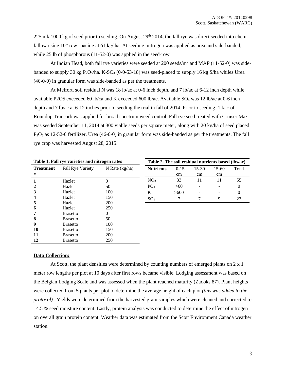$225$  ml/ 1000 kg of seed prior to seeding. On August  $29<sup>th</sup>$  2014, the fall rye was direct seeded into chemfallow using 10" row spacing at 61 kg/ ha. At seeding, nitrogen was applied as urea and side-banded, while 25 lb of phosphorous (11-52-0) was applied in the seed-row.

At Indian Head, both fall rye varieties were seeded at 200 seeds/m<sup>2</sup> and MAP (11-52-0) was sidebanded to supply 30 kg  $P_2O_5/ha$ . K<sub>2</sub>SO<sub>4</sub> (0-0-53-18) was seed-placed to supply 16 kg S/ha whiles Urea (46-0-0) in granular form was side-banded as per the treatments.

At Melfort, soil residual N was 18 lb/ac at 0-6 inch depth, and 7 lb/ac at 6-12 inch depth while available P2O5 exceeded 60 lb/ca and K exceeded 600 lb/ac. Available SO<sup>4</sup> was 12 lb/ac at 0-6 inch depth and 7 lb/ac at 6-12 inches prior to seeding the trial in fall of 2014. Prior to seeding, 1 l/ac of Roundup Transorb was applied for broad spectrum weed control. Fall rye seed treated with Cruiser Max was seeded September 11, 2014 at 300 viable seeds per square meter, along with 20 kg/ha of seed placed P<sub>2</sub>O<sub>5</sub> as 12-52-0 fertilizer. Urea (46-0-0) in granular form was side-banded as per the treatments. The fall rye crop was harvested August 28, 2015.

| Table 1. Fall rye varieties and nitrogen rates |                         |                  |  |  |
|------------------------------------------------|-------------------------|------------------|--|--|
| <b>Treatment</b>                               | <b>Fall Rye Variety</b> | N Rate $(kg/ha)$ |  |  |
| #                                              |                         |                  |  |  |
| 1                                              | Hazlet                  | 0                |  |  |
| $\mathbf{2}$                                   | Hazlet                  | 50               |  |  |
| 3                                              | Hazlet                  | 100              |  |  |
| $\overline{\mathbf{4}}$                        | Hazlet                  | 150              |  |  |
| 5                                              | Hazlet                  | 200              |  |  |
| 6                                              | Hazlet                  | 250              |  |  |
| 7                                              | <b>Brasetto</b>         | 0                |  |  |
| 8                                              | <b>Brasetto</b>         | 50               |  |  |
| 9                                              | <b>Brasetto</b>         | 100              |  |  |
| 10                                             | <b>Brasetto</b>         | 150              |  |  |
| 11                                             | <b>Brasetto</b>         | 200              |  |  |
| 12                                             | Brasetto                | 250              |  |  |

| Table 2. The soil residual nutrients based (lbs/ac) |          |         |         |       |
|-----------------------------------------------------|----------|---------|---------|-------|
| <b>Nutrients</b>                                    | $0 - 15$ | $15-30$ | $15-60$ | Total |
|                                                     | cm       | cm      | cm      |       |
| NO <sub>3</sub>                                     | 33       | 11      | 11      | 55    |
| PO <sub>4</sub>                                     | >60      |         |         |       |
| K                                                   | >600     |         |         |       |
|                                                     |          |         |         | 23    |

# **Data Collection:**

At Scott, the plant densities were determined by counting numbers of emerged plants on 2 x 1 meter row lengths per plot at 10 days after first rows became visible. Lodging assessment was based on the Belgian Lodging Scale and was assessed when the plant reached maturity (Zadoks 87). Plant heights were collected from 5 plants per plot to determine the average height of each plot *(this was added to the protocol).* Yields were determined from the harvested grain samples which were cleaned and corrected to 14.5 % seed moisture content. Lastly, protein analysis was conducted to determine the effect of nitrogen on overall grain protein content. Weather data was estimated from the Scott Environment Canada weather station.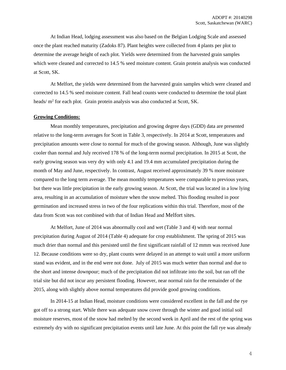At Indian Head, lodging assessment was also based on the Belgian Lodging Scale and assessed once the plant reached maturity (Zadoks 87). Plant heights were collected from 4 plants per plot to determine the average height of each plot*.* Yields were determined from the harvested grain samples which were cleaned and corrected to 14.5 % seed moisture content. Grain protein analysis was conducted at Scott, SK.

At Melfort, the yields were determined from the harvested grain samples which were cleaned and corrected to 14.5 % seed moisture content. Fall head counts were conducted to determine the total plant heads/ m<sup>2</sup> for each plot. Grain protein analysis was also conducted at Scott, SK.

# **Growing Conditions:**

Mean monthly temperatures, precipitation and growing degree days (GDD) data are presented relative to the long-term averages for Scott in Table 3, respectively. In 2014 at Scott, temperatures and precipitation amounts were close to normal for much of the growing season. Although, June was slightly cooler than normal and July received 178 % of the long-term normal precipitation. In 2015 at Scott, the early growing season was very dry with only 4.1 and 19.4 mm accumulated precipitation during the month of May and June, respectively. In contrast, August received approximately 39 % more moisture compared to the long term average. The mean monthly temperatures were comparable to previous years, but there was little precipitation in the early growing season. At Scott, the trial was located in a low lying area, resulting in an accumulation of moisture when the snow melted. This flooding resulted in poor germination and increased stress in two of the four replications within this trial. Therefore, most of the data from Scott was not combined with that of Indian Head and Melfort sites.

At Melfort, June of 2014 was abnormally cool and wet (Table 3 and 4) with near normal precipitation during August of 2014 (Table 4) adequate for crop establishment. The spring of 2015 was much drier than normal and this persisted until the first significant rainfall of 12 mmm was received June 12. Because conditions were so dry, plant counts were delayed in an attempt to wait until a more uniform stand was evident, and in the end were not done. July of 2015 was much wetter than normal and due to the short and intense downpour; much of the precipitation did not infiltrate into the soil, but ran off the trial site but did not incur any persistent flooding. However, near normal rain for the remainder of the 2015, along with slightly above normal temperatures did provide good growing conditions.

In 2014-15 at Indian Head, moisture conditions were considered excellent in the fall and the rye got off to a strong start. While there was adequate snow cover through the winter and good initial soil moisture reserves, most of the snow had melted by the second week in April and the rest of the spring was extremely dry with no significant precipitation events until late June. At this point the fall rye was already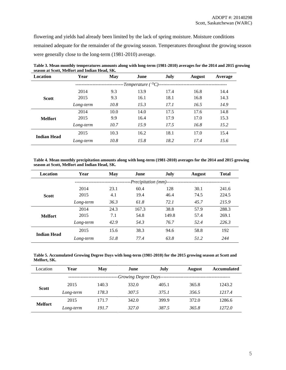flowering and yields had already been limited by the lack of spring moisture. Moisture conditions remained adequate for the remainder of the growing season. Temperatures throughout the growing season were generally close to the long-term (1981-2010) average.

| Location           | Year      | <b>May</b> | June                    | July | <b>August</b> | Average |
|--------------------|-----------|------------|-------------------------|------|---------------|---------|
|                    |           |            | -Temperature ( $^0C$ )- |      |               |         |
|                    | 2014      | 9.3        | 13.9                    | 17.4 | 16.8          | 14.4    |
| <b>Scott</b>       | 2015      | 9.3        | 16.1                    | 18.1 | 16.8          | 14.3    |
|                    | Long-term | 10.8       | 15.3                    | 17.1 | 16.5          | 14.9    |
|                    | 2014      | 10.0       | 14.0                    | 17.5 | 17.6          | 14.8    |
| <b>Melfort</b>     | 2015      | 9.9        | 16.4                    | 17.9 | 17.0          | 15.3    |
|                    | Long-term | 10.7       | 15.9                    | 17.5 | 16.8          | 15.2    |
|                    | 2015      | 10.3       | 16.2                    | 18.1 | 17.0          | 15.4    |
| <b>Indian Head</b> | Long-term | 10.8       | 15.8                    | 18.2 | 17.4          | 15.6    |

**Table 3. Mean monthly temperatures amounts along with long-term (1981-2010) averages for the 2014 and 2015 growing season at Scott, Melfort and Indian Head, SK.** 

**Table 4. Mean monthly precipitation amounts along with long-term (1981-2010) averages for the 2014 and 2015 growing season at Scott, Melfort and Indian Head, SK.** 

| Location           | Year      | May  | June                  | July  | <b>August</b> | <b>Total</b> |
|--------------------|-----------|------|-----------------------|-------|---------------|--------------|
|                    |           |      | -Precipitation (mm)-- |       |               |              |
|                    | 2014      | 23.1 | 60.4                  | 128   | 30.1          | 241.6        |
| <b>Scott</b>       | 2015      | 4.1  | 19.4                  | 46.4  | 74.5          | 224.5        |
|                    | Long-term | 36.3 | 61.8                  | 72.1  | 45.7          | 215.9        |
|                    | 2014      | 24.3 | 167.3                 | 38.8  | 57.9          | 288.3        |
| <b>Melfort</b>     | 2015      | 7.1  | 54.8                  | 149.8 | 57.4          | 269.1        |
|                    | Long-term | 42.9 | 54.3                  | 76.7  | 52.4          | 226.3        |
| <b>Indian Head</b> | 2015      | 15.6 | 38.3                  | 94.6  | 58.8          | 192          |
|                    | Long-term | 51.8 | 77.4                  | 63.8  | 51.2          | 244          |

**Table 5. Accumulated Growing Degree Days with long-term (1981-2010) for the 2015 growing season at Scott and Melfort, SK.** 

| Location       | Year      | May   | June                  | July  | <b>August</b> | <b>Accumulated</b> |
|----------------|-----------|-------|-----------------------|-------|---------------|--------------------|
|                |           |       | -Growing Degree Days- |       |               |                    |
|                | 2015      | 140.3 | 332.0                 | 405.1 | 365.8         | 1243.2             |
| <b>Scott</b>   | Long-term | 178.3 | 307.5                 | 375.1 | 356.5         | 1217.4             |
|                | 2015      | 171.7 | 342.0                 | 399.9 | 372.0         | 1286.6             |
| <b>Melfort</b> | Long-term | 191.7 | 327.0                 | 387.5 | 365.8         | 1272.0             |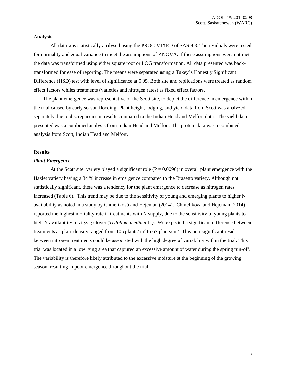## **Analysis**:

All data was statistically analysed using the PROC MIXED of SAS 9.3. The residuals were tested for normality and equal variance to meet the assumptions of ANOVA. If these assumptions were not met, the data was transformed using either square root or LOG transformation. All data presented was backtransformed for ease of reporting. The means were separated using a Tukey's Honestly Significant Difference (HSD) test with level of significance at 0.05. Both site and replications were treated as random effect factors whiles treatments (varieties and nitrogen rates) as fixed effect factors.

The plant emergence was representative of the Scott site, to depict the difference in emergence within the trial caused by early season flooding. Plant height, lodging, and yield data from Scott was analyzed separately due to discrepancies in results compared to the Indian Head and Melfort data. The yield data presented was a combined analysis from Indian Head and Melfort. The protein data was a combined analysis from Scott, Indian Head and Melfort.

# **Results**

## *Plant Emergence*

At the Scott site, variety played a significant role ( $P = 0.0096$ ) in overall plant emergence with the Hazlet variety having a 34 % increase in emergence compared to the Brasetto variety. Although not statistically significant, there was a tendency for the plant emergence to decrease as nitrogen rates increased (Table 6). This trend may be due to the sensitivity of young and emerging plants to higher N availability as noted in a study by Chmelìková and Hejcman (2014). Chmelìková and Hejcman (2014) reported the highest mortality rate in treatments with N supply, due to the sensitivity of young plants to high N availability in zigzag clover (*Trifolium medium* L.*)*. We expected a significant difference between treatments as plant density ranged from 105 plants/ $m^2$  to 67 plants/ $m^2$ . This non-significant result between nitrogen treatments could be associated with the high degree of variability within the trial. This trial was located in a low lying area that captured an excessive amount of water during the spring run-off. The variability is therefore likely attributed to the excessive moisture at the beginning of the growing season, resulting in poor emergence throughout the trial.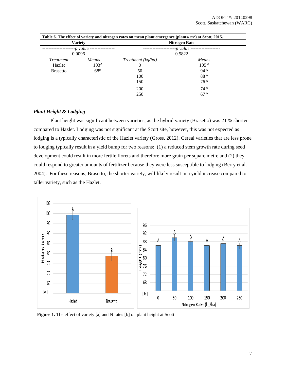|                                               | Table 6. The effect of variety and nitrogen rates on mean plant emergence (plants/ $m2$ ) at Scott, 2015. |                                                          |                                                                                                                          |  |
|-----------------------------------------------|-----------------------------------------------------------------------------------------------------------|----------------------------------------------------------|--------------------------------------------------------------------------------------------------------------------------|--|
|                                               | <b>Variety</b>                                                                                            |                                                          | Nitrogen Rate                                                                                                            |  |
|                                               | --p value -<br>0.0096                                                                                     |                                                          | -p value<br>0.5822                                                                                                       |  |
| <i>Treatment</i><br>Hazlet<br><b>Brasetto</b> | Means<br>103 <sup>A</sup><br>68 <sup>B</sup>                                                              | Treatment (kg/ha)<br>0<br>50<br>100<br>150<br>200<br>250 | Means<br>105 <sup>A</sup><br>$94^{\text{A}}$<br>88 <sup>A</sup><br>76 <sup>A</sup><br>74 <sup>A</sup><br>67 <sup>A</sup> |  |

# *Plant Height & Lodging*

Plant height was significant between varieties, as the hybrid variety (Brasetto) was 21 % shorter compared to Hazlet. Lodging was not significant at the Scott site, however, this was not expected as lodging is a typically characteristic of the Hazlet variety (Gross, 2012). Cereal varieties that are less prone to lodging typically result in a yield bump for two reasons: (1) a reduced stem growth rate during seed development could result in more fertile florets and therefore more grain per square metre and (2) they could respond to greater amounts of fertilizer because they were less susceptible to lodging (Berry et al. 2004). For these reasons, Brasetto, the shorter variety, will likely result in a yield increase compared to taller variety, such as the Hazlet.



Figure 1. The effect of variety [a] and N rates [b] on plant height at Scott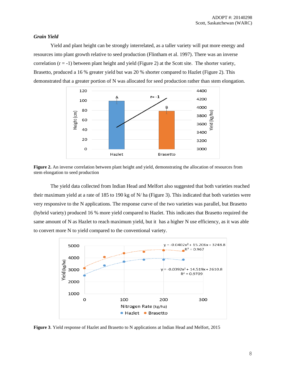## *Grain Yield*

Yield and plant height can be strongly interrelated, as a taller variety will put more energy and resources into plant growth relative to seed production (Flintham et al. 1997). There was an inverse correlation  $(r = -1)$  between plant height and yield (Figure 2) at the Scott site. The shorter variety, Brasetto, produced a 16 % greater yield but was 20 % shorter compared to Hazlet (Figure 2). This demonstrated that a greater portion of N was allocated for seed production rather than stem elongation.



**Figure 2.** An inverse correlation between plant height and yield, demonstrating the allocation of resources from stem elongation to seed production

The yield data collected from Indian Head and Melfort also suggested that both varieties reached their maximum yield at a rate of 185 to 190 kg of N/ ha (Figure 3). This indicated that both varieties were very responsive to the N applications. The response curve of the two varieties was parallel, but Brasetto (hybrid variety) produced 16 % more yield compared to Hazlet. This indicates that Brasetto required the same amount of N as Hazlet to reach maximum yield, but it has a higher N use efficiency, as it was able to convert more N to yield compared to the conventional variety.



**Figure 3**. Yield response of Hazlet and Brasetto to N applications at Indian Head and Melfort, 2015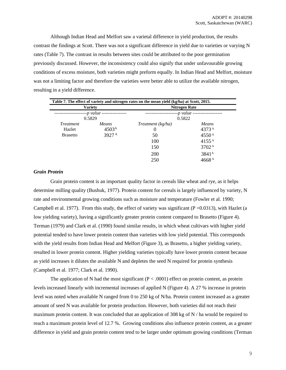Although Indian Head and Melfort saw a varietal difference in yield production, the results contrast the findings at Scott. There was not a significant difference in yield due to varieties or varying N rates (Table 7). The contrast in results between sites could be attributed to the poor germination previously discussed. However, the inconsistency could also signify that under unfavourable growing conditions of excess moisture, both varieties might preform equally. In Indian Head and Melfort, moisture was not a limiting factor and therefore the varieties were better able to utilize the available nitrogen, resulting in a yield difference.

| <b>Variety</b><br>-- <i>p</i> value ----------------<br>0.5829 |                   | Nitrogen Rate<br>--p value<br>0.5822 |                   |  |                  |                   |                   |                   |
|----------------------------------------------------------------|-------------------|--------------------------------------|-------------------|--|------------------|-------------------|-------------------|-------------------|
|                                                                |                   |                                      |                   |  | <i>Treatment</i> | Means             | Treatment (kg/ha) | Means             |
|                                                                |                   |                                      |                   |  | Hazlet           | 4503 <sup>A</sup> | $\theta$          | 4373 <sup>A</sup> |
| <b>Brasetto</b>                                                | 3927 <sup>A</sup> | 50                                   | $4550^{\text{A}}$ |  |                  |                   |                   |                   |
|                                                                |                   | 100                                  | $4155^{\text{A}}$ |  |                  |                   |                   |                   |
|                                                                |                   | 150                                  | 3702 <sup>A</sup> |  |                  |                   |                   |                   |
|                                                                |                   | 200                                  | 3841 <sup>A</sup> |  |                  |                   |                   |                   |
|                                                                |                   | 250                                  | 4668 <sup>A</sup> |  |                  |                   |                   |                   |

## *Grain Protein*

Grain protein content is an important quality factor in cereals like wheat and rye, as it helps determine milling quality (Bushuk, 1977). Protein content for cereals is largely influenced by variety, N rate and environmental growing conditions such as moisture and temperature (Fowler et al. 1990; Campbell et al. 1977). From this study, the effect of variety was significant ( $P = 0.0313$ ), with Hazlet (a low yielding variety), having a significantly greater protein content compared to Brasetto (Figure 4). Terman (1979) and Clark et al. (1990) found similar results, in which wheat cultivars with higher yield potential tended to have lower protein content than varieties with low yield potential. This corresponds with the yield results from Indian Head and Melfort (Figure 3), as Brasetto, a higher yielding variety, resulted in lower protein content. Higher yielding varieties typically have lower protein content because as yield increases it dilutes the available N and depletes the seed N required for protein synthesis (Campbell et al. 1977; Clark et al. 1990).

The application of N had the most significant ( $P < .0001$ ) effect on protein content, as protein levels increased linearly with incremental increases of applied N (Figure 4). A 27 % increase in protein level was noted when available N ranged from 0 to 250 kg of N/ha. Protein content increased as a greater amount of seed N was available for protein production. However, both varieties did not reach their maximum protein content. It was concluded that an application of 308 kg of N / ha would be required to reach a maximum protein level of 12.7 %. Growing conditions also influence protein content, as a greater difference in yield and grain protein content tend to be larger under optimum growing conditions (Terman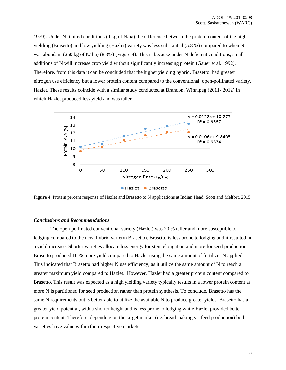1979). Under N limited conditions (0 kg of N/ha) the difference between the protein content of the high yielding (Brasetto) and low yielding (Hazlet) variety was less substantial (5.8 %) compared to when N was abundant (250 kg of N/ ha) (8.3%) (Figure 4). This is because under N deficient conditions, small additions of N will increase crop yield without significantly increasing protein (Gauer et al. 1992). Therefore, from this data it can be concluded that the higher yielding hybrid, Brasetto, had greater nitrogen use efficiency but a lower protein content compared to the conventional, open-pollinated variety, Hazlet. These results coincide with a similar study conducted at Brandon, Winnipeg (2011- 2012) in which Hazlet produced less yield and was taller.



**Figure 4.** Protein percent response of Hazlet and Brasetto to N applications at Indian Head, Scott and Melfort, 2015

## *Conclusions and Recommendations*

The open-pollinated conventional variety (Hazlet) was 20 % taller and more susceptible to lodging compared to the new, hybrid variety (Brasetto). Brasetto is less prone to lodging and it resulted in a yield increase. Shorter varieties allocate less energy for stem elongation and more for seed production. Brasetto produced 16 % more yield compared to Hazlet using the same amount of fertilizer N applied. This indicated that Brasetto had higher N use efficiency, as it utilize the same amount of N to reach a greater maximum yield compared to Hazlet. However, Hazlet had a greater protein content compared to Brasetto. This result was expected as a high yielding variety typically results in a lower protein content as more N is partitioned for seed production rather than protein synthesis. To conclude, Brasetto has the same N requirements but is better able to utilize the available N to produce greater yields. Brasetto has a greater yield potential, with a shorter height and is less prone to lodging while Hazlet provided better protein content. Therefore, depending on the target market (i.e. bread making vs. feed production) both varieties have value within their respective markets.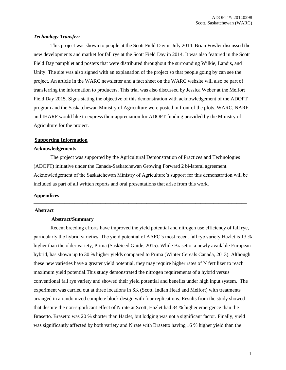# *Technology Transfer:*

This project was shown to people at the Scott Field Day in July 2014. Brian Fowler discussed the new developments and market for fall rye at the Scott Field Day in 2014. It was also featured in the Scott Field Day pamphlet and posters that were distributed throughout the surrounding Wilkie, Landis, and Unity. The site was also signed with an explanation of the project so that people going by can see the project. An article in the WARC newsletter and a fact sheet on the WARC website will also be part of transferring the information to producers. This trial was also discussed by Jessica Weber at the Melfort Field Day 2015. Signs stating the objective of this demonstration with acknowledgement of the ADOPT program and the Saskatchewan Ministry of Agriculture were posted in front of the plots. WARC, NARF and IHARF would like to express their appreciation for ADOPT funding provided by the Ministry of Agriculture for the project.

## **Supporting Information**

## **Acknowledgements**

The project was supported by the Agricultural Demonstration of Practices and Technologies (ADOPT) initiative under the Canada-Saskatchewan Growing Forward 2 bi-lateral agreement. Acknowledgement of the Saskatchewan Ministry of Agriculture's support for this demonstration will be included as part of all written reports and oral presentations that arise from this work.

\_\_\_\_\_\_\_\_\_\_\_\_\_\_\_\_\_\_\_\_\_\_\_\_\_\_\_\_\_\_\_\_\_\_\_\_\_\_\_\_\_\_\_\_\_\_\_\_\_\_\_\_\_\_\_\_\_\_\_\_\_\_\_\_\_\_\_\_\_\_\_\_\_\_\_\_\_\_\_\_\_\_\_

## **Appendices**

## **Abstract**

## **Abstract/Summary**

Recent breeding efforts have improved the yield potential and nitrogen use efficiency of fall rye, particularly the hybrid varieties. The yield potential of AAFC's most recent fall rye variety Hazlet is 13 % higher than the older variety, Prima (SaskSeed Guide, 2015). While Brasetto, a newly available European hybrid, has shown up to 30 % higher yields compared to Prima (Winter Cereals Canada, 2013). Although these new varieties have a greater yield potential, they may require higher rates of N fertilizer to reach maximum yield potential.This study demonstrated the nitrogen requirements of a hybrid versus conventional fall rye variety and showed their yield potential and benefits under high input system. The experiment was carried out at three locations in SK (Scott, Indian Head and Melfort) with treatments arranged in a randomized complete block design with four replications. Results from the study showed that despite the non-significant effect of N rate at Scott, Hazlet had 34 % higher emergence than the Brasetto. Brasetto was 20 % shorter than Hazlet, but lodging was not a significant factor. Finally, yield was significantly affected by both variety and N rate with Brasetto having 16 % higher yield than the